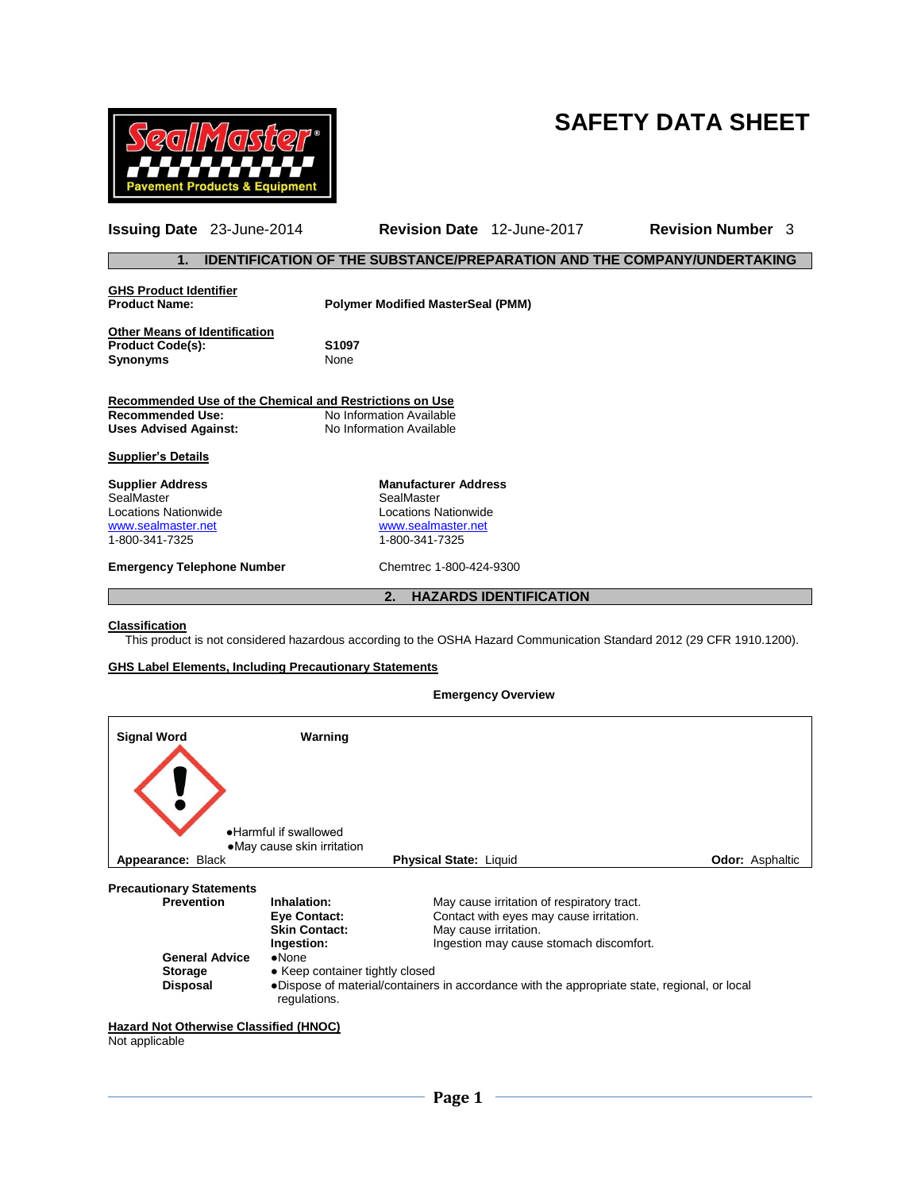# **SAFETY DATA SHEET**



**Issuing Date** 23-June-2014 **Revision Date** 12-June-2017 **Revision Number** 3 **1. IDENTIFICATION OF THE SUBSTANCE/PREPARATION AND THE COMPANY/UNDERTAKING GHS Product Identifier Polymer Modified MasterSeal (PMM) Other Means of Identification Product Code(s): S1097 Synonyms** None **Recommended Use of the Chemical and Restrictions on Use Recommended Use:** No Information Available<br>
Uses Advised Against: No Information Available **Uses Advised Against:** No Information Available **Supplier's Details Supplier Address <b>Manufacturer Address**<br>
SealMaster **Manufacturer Address**<br>
SealMaster SealMaster<br>Locations Nationwide Locations Nationwide Locations Nationwide [www.sealmaster.net](http://www.sealmaster.net/) [www.sealmaster.net](http://www.sealmaster.net/) 1-800-341-7325 **Emergency Telephone Number** Chemtrec 1-800-424-9300 **2. HAZARDS IDENTIFICATION**

#### **Classification**

This product is not considered hazardous according to the OSHA Hazard Communication Standard 2012 (29 CFR 1910.1200).

#### **GHS Label Elements, Including Precautionary Statements**

### **Emergency Overview**

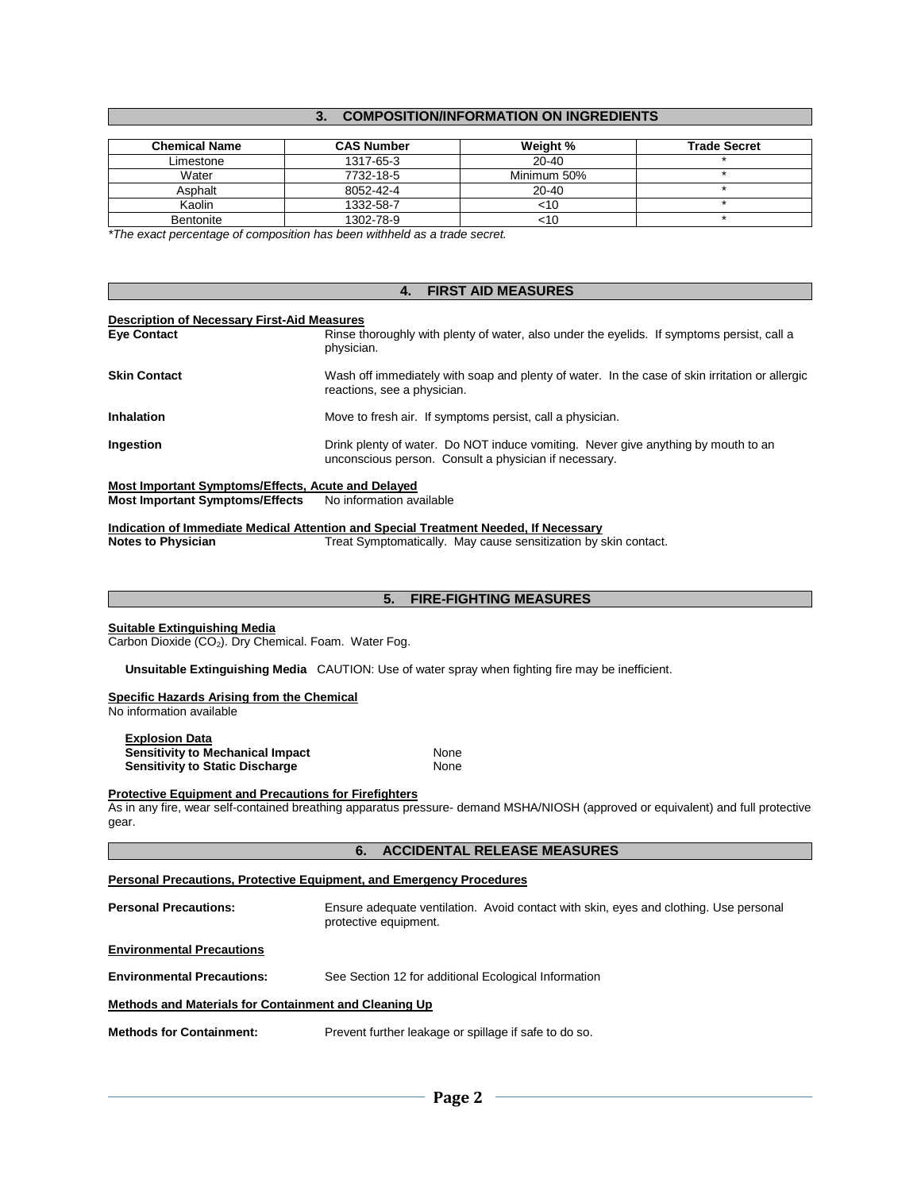# **3. COMPOSITION/INFORMATION ON INGREDIENTS**

| <b>Chemical Name</b> | <b>CAS Number</b> | Weight %    | <b>Trade Secret</b> |
|----------------------|-------------------|-------------|---------------------|
| Limestone            | 1317-65-3         | $20 - 40$   |                     |
| Water                | 7732-18-5         | Minimum 50% |                     |
| Asphalt              | 8052-42-4         | 20-40       |                     |
| Kaolin               | 1332-58-7         | <10         |                     |
| <b>Bentonite</b>     | 1302-78-9         | <10         |                     |

*\*The exact percentage of composition has been withheld as a trade secret.*

### **4. FIRST AID MEASURES**

#### **Description of Necessary First-Aid Measures**

| <b>Eye Contact</b>                                 | Rinse thoroughly with plenty of water, also under the eyelids. If symptoms persist, call a<br>physician.                                   |
|----------------------------------------------------|--------------------------------------------------------------------------------------------------------------------------------------------|
| <b>Skin Contact</b>                                | Wash off immediately with soap and plenty of water. In the case of skin irritation or allergic<br>reactions, see a physician.              |
| <b>Inhalation</b>                                  | Move to fresh air. If symptoms persist, call a physician.                                                                                  |
| Ingestion                                          | Drink plenty of water. Do NOT induce vomiting. Never give anything by mouth to an<br>unconscious person. Consult a physician if necessary. |
| Most Important Symptoms/Effects, Acute and Delayed |                                                                                                                                            |

**Most Important Symptoms/Effects** No information available

**Indication of Immediate Medical Attention and Special Treatment Needed, If Necessary**

**Notes to Physician** Treat Symptomatically. May cause sensitization by skin contact.

|                                                                                                                                                                                                           | <b>FIRE-FIGHTING MEASURES</b><br>5.                                                                      |  |  |  |
|-----------------------------------------------------------------------------------------------------------------------------------------------------------------------------------------------------------|----------------------------------------------------------------------------------------------------------|--|--|--|
| Suitable Extinguishing Media<br>Carbon Dioxide (CO <sub>2</sub> ). Dry Chemical. Foam. Water Fog.                                                                                                         |                                                                                                          |  |  |  |
|                                                                                                                                                                                                           | <b>Unsuitable Extinguishing Media</b> CAUTION: Use of water spray when fighting fire may be inefficient. |  |  |  |
| Specific Hazards Arising from the Chemical<br>No information available                                                                                                                                    |                                                                                                          |  |  |  |
| <b>Explosion Data</b><br>Sensitivity to Mechanical Impact<br><b>Sensitivity to Static Discharge</b>                                                                                                       | <b>None</b><br>None                                                                                      |  |  |  |
| <b>Protective Equipment and Precautions for Firefighters</b><br>As in any fire, wear self-contained breathing apparatus pressure- demand MSHA/NIOSH (approved or equivalent) and full protective<br>gear. |                                                                                                          |  |  |  |
| 6.                                                                                                                                                                                                        | <b>ACCIDENTAL RELEASE MEASURES</b>                                                                       |  |  |  |

# **Personal Precautions, Protective Equipment, and Emergency Procedures**

**Personal Precautions:** Ensure adequate ventilation. Avoid contact with skin, eyes and clothing. Use personal protective equipment.

### **Environmental Precautions**

**Environmental Precautions:** See Section 12 for additional Ecological Information

### **Methods and Materials for Containment and Cleaning Up**

**Methods for Containment:** Prevent further leakage or spillage if safe to do so.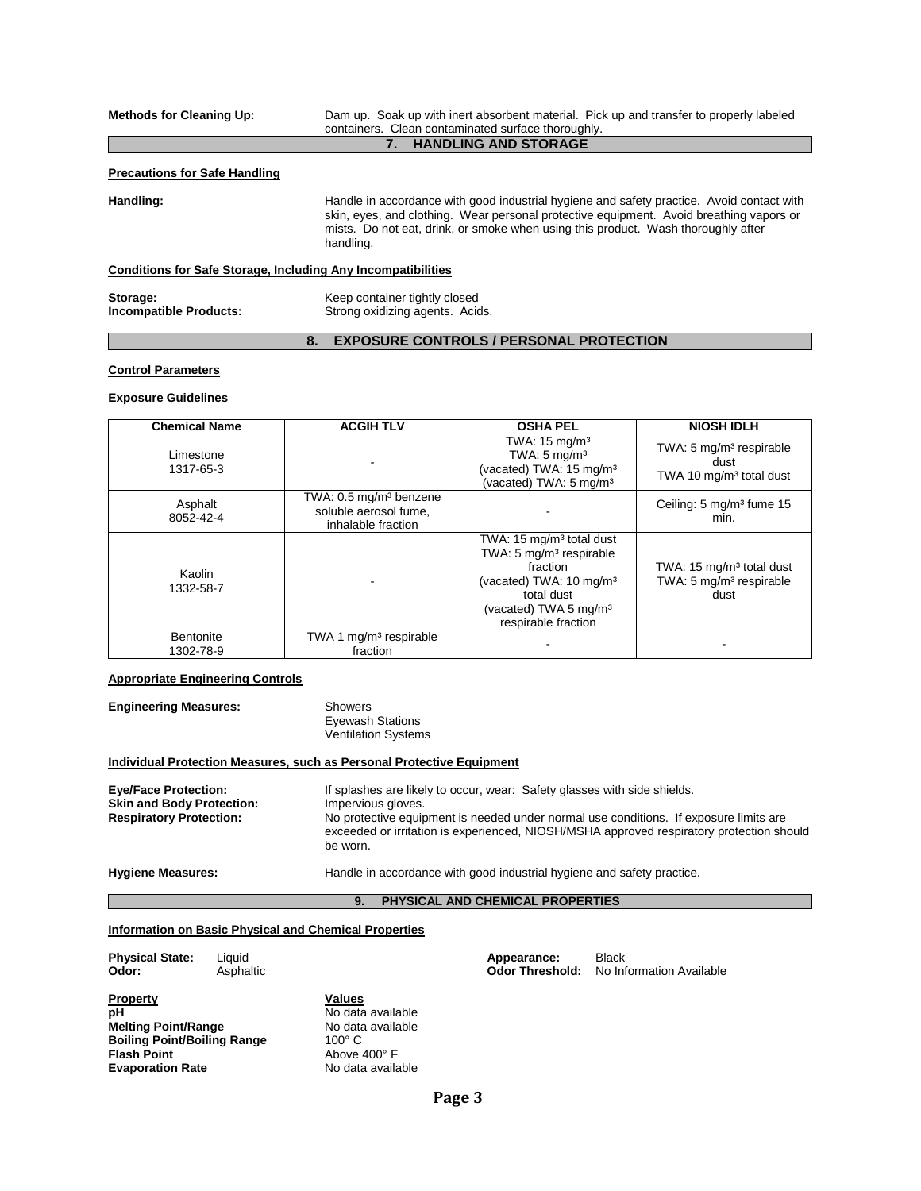**Methods for Cleaning Up:** Dam up. Soak up with inert absorbent material. Pick up and transfer to properly labeled containers. Clean contaminated surface thoroughly.

# **7. HANDLING AND STORAGE**

#### **Precautions for Safe Handling**

Handling: **Handle** in accordance with good industrial hygiene and safety practice. Avoid contact with skin, eyes, and clothing. Wear personal protective equipment. Avoid breathing vapors or mists. Do not eat, drink, or smoke when using this product. Wash thoroughly after handling.

#### **Conditions for Safe Storage, Including Any Incompatibilities**

**Storage:** Keep container tightly closed<br> **Incompatible Products:** Strong oxidizing agents. Acid Strong oxidizing agents. Acids.

# **8. EXPOSURE CONTROLS / PERSONAL PROTECTION**

#### **Control Parameters**

#### **Exposure Guidelines**

| <b>Chemical Name</b>   | <b>ACGIH TLV</b>                                                                  | <b>OSHA PEL</b>                                                                                                                                                                                         | <b>NIOSH IDLH</b>                                                                   |
|------------------------|-----------------------------------------------------------------------------------|---------------------------------------------------------------------------------------------------------------------------------------------------------------------------------------------------------|-------------------------------------------------------------------------------------|
| Limestone<br>1317-65-3 |                                                                                   | TWA: $15 \text{ mg/m}^3$<br>TWA: $5 \text{ mg/m}^3$<br>(vacated) TWA: 15 mg/m <sup>3</sup><br>(vacated) TWA: 5 mg/m <sup>3</sup>                                                                        | TWA: 5 mg/m <sup>3</sup> respirable<br>dust<br>TWA 10 mg/m <sup>3</sup> total dust  |
| Asphalt<br>8052-42-4   | TWA: 0.5 mg/m <sup>3</sup> benzene<br>soluble aerosol fume.<br>inhalable fraction |                                                                                                                                                                                                         | Ceiling: 5 mg/m <sup>3</sup> fume 15<br>min.                                        |
| Kaolin<br>1332-58-7    |                                                                                   | TWA: $15 \text{ mg/m}^3$ total dust<br>TWA: 5 mg/m <sup>3</sup> respirable<br>fraction<br>(vacated) TWA: 10 mg/m <sup>3</sup><br>total dust<br>(vacated) TWA 5 mg/m <sup>3</sup><br>respirable fraction | TWA: 15 mg/m <sup>3</sup> total dust<br>TWA: 5 mg/m <sup>3</sup> respirable<br>dust |
| Bentonite<br>1302-78-9 | TWA 1 mg/m <sup>3</sup> respirable<br>fraction                                    |                                                                                                                                                                                                         |                                                                                     |

# **Appropriate Engineering Controls**

| <b>Engineering Measures:</b> | Showers                |  |  |
|------------------------------|------------------------|--|--|
|                              | <b>Eyewash Statior</b> |  |  |

ns Ventilation Systems

#### **Individual Protection Measures, such as Personal Protective Equipment**

| <b>Eye/Face Protection:</b><br><b>Skin and Body Protection:</b><br><b>Respiratory Protection:</b> | If splashes are likely to occur, wear: Safety glasses with side shields.<br>Impervious gloves.<br>No protective equipment is needed under normal use conditions. If exposure limits are<br>exceeded or irritation is experienced, NIOSH/MSHA approved respiratory protection should<br>be worn. |
|---------------------------------------------------------------------------------------------------|-------------------------------------------------------------------------------------------------------------------------------------------------------------------------------------------------------------------------------------------------------------------------------------------------|
| <b>Hygiene Measures:</b>                                                                          | Handle in accordance with good industrial hygiene and safety practice.                                                                                                                                                                                                                          |

#### **9. PHYSICAL AND CHEMICAL PROPERTIES**

#### **Information on Basic Physical and Chemical Properties**

| <b>Physical State:</b><br>Odor:                                                                                                            | Liauid<br>Asphaltic |                                                                                                               | Appearance: | <b>Odor Threshold:</b> | <b>Black</b><br>No Information Available |
|--------------------------------------------------------------------------------------------------------------------------------------------|---------------------|---------------------------------------------------------------------------------------------------------------|-------------|------------------------|------------------------------------------|
| <b>Property</b><br>pH<br><b>Melting Point/Range</b><br><b>Boiling Point/Boiling Range</b><br><b>Flash Point</b><br><b>Evaporation Rate</b> |                     | <b>Values</b><br>No data available<br>No data available<br>$100^\circ$ C<br>Above 400° F<br>No data available | $n = 0$     |                        |                                          |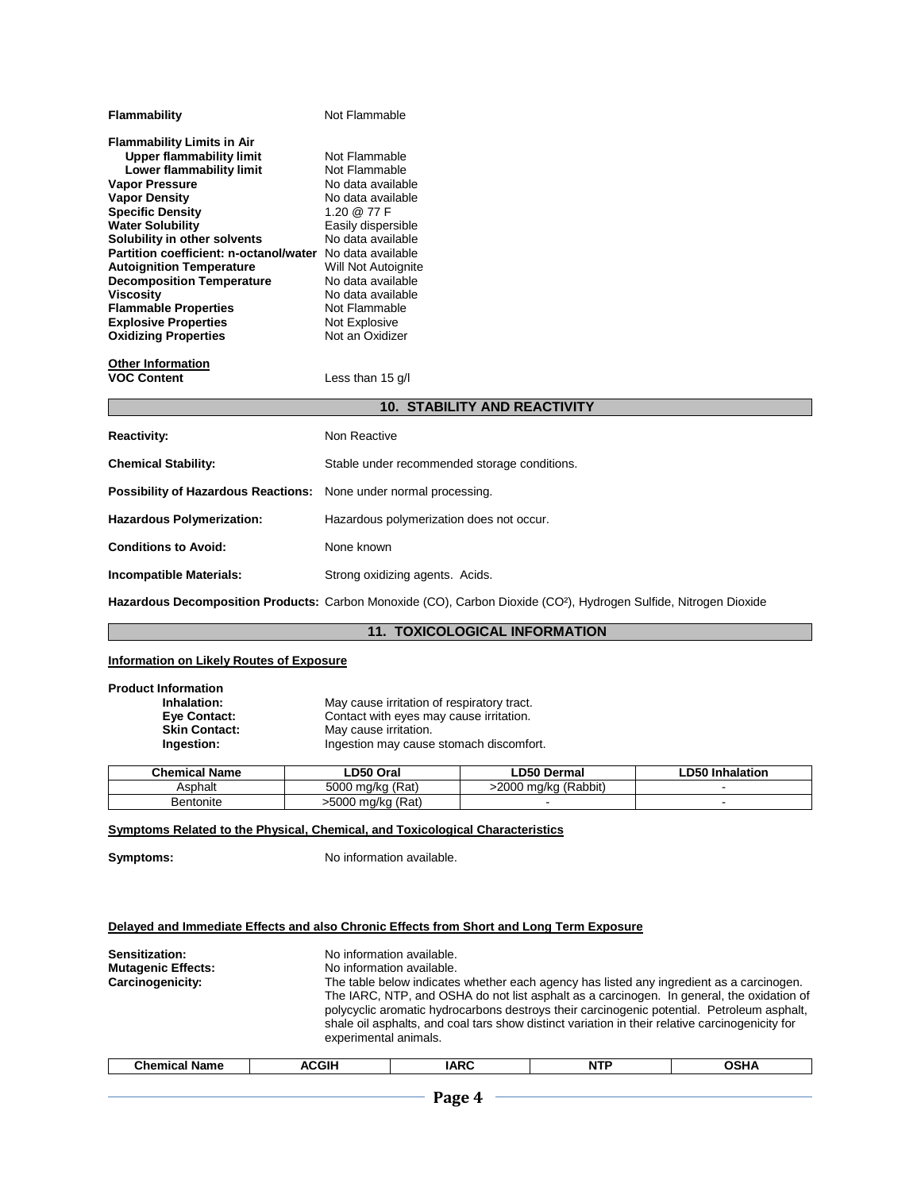| Flammability                           | Not Flammable                       |
|----------------------------------------|-------------------------------------|
| <b>Flammability Limits in Air</b>      |                                     |
| <b>Upper flammability limit</b>        | Not Flammable                       |
| Lower flammability limit               | Not Flammable                       |
| <b>Vapor Pressure</b>                  | No data available                   |
| <b>Vapor Density</b>                   | No data available                   |
| <b>Specific Density</b>                | 1.20 @ 77 F                         |
| <b>Water Solubility</b>                | Easily dispersible                  |
| Solubility in other solvents           | No data available                   |
| Partition coefficient: n-octanol/water | No data available                   |
| <b>Autoignition Temperature</b>        | Will Not Autoignite                 |
| <b>Decomposition Temperature</b>       | No data available                   |
| Viscosity                              | No data available                   |
| <b>Flammable Properties</b>            | Not Flammable                       |
| <b>Explosive Properties</b>            | Not Explosive                       |
| <b>Oxidizing Properties</b>            | Not an Oxidizer                     |
|                                        |                                     |
| <b>Other Information</b>               |                                     |
| <b>VOC Content</b>                     | Less than $15$ g/l                  |
|                                        | <b>10. STABILITY AND REACTIVITY</b> |
|                                        |                                     |
| <b>Reactivity:</b>                     | Non Reactive                        |
|                                        |                                     |

| Reactivity:                                                              | <b>NON Reactive</b>                          |
|--------------------------------------------------------------------------|----------------------------------------------|
| <b>Chemical Stability:</b>                                               | Stable under recommended storage conditions. |
| <b>Possibility of Hazardous Reactions:</b> None under normal processing. |                                              |
| <b>Hazardous Polymerization:</b>                                         | Hazardous polymerization does not occur.     |
| <b>Conditions to Avoid:</b>                                              | None known                                   |
| <b>Incompatible Materials:</b>                                           | Strong oxidizing agents. Acids.              |
|                                                                          |                                              |

**Hazardous Decomposition Products:** Carbon Monoxide (CO), Carbon Dioxide (CO²), Hydrogen Sulfide, Nitrogen Dioxide

# **11. TOXICOLOGICAL INFORMATION**

# **Information on Likely Routes of Exposure**

| <b>Product Information</b><br>Inhalation:<br>Eye Contact:<br><b>Skin Contact:</b><br>Ingestion: | May cause irritation of respiratory tract.<br>Contact with eyes may cause irritation.<br>May cause irritation.<br>Ingestion may cause stomach discomfort. |                      |                        |
|-------------------------------------------------------------------------------------------------|-----------------------------------------------------------------------------------------------------------------------------------------------------------|----------------------|------------------------|
| <b>Chemical Name</b>                                                                            | LD50 Oral                                                                                                                                                 | <b>LD50 Dermal</b>   | <b>LD50 Inhalation</b> |
| Asphalt                                                                                         | 5000 mg/kg (Rat)                                                                                                                                          | >2000 mg/kg (Rabbit) |                        |

### **Symptoms Related to the Physical, Chemical, and Toxicological Characteristics**

Bentonite >5000 mg/kg (Rat)

**Symptoms:** No information available.

# **Delayed and Immediate Effects and also Chronic Effects from Short and Long Term Exposure**

| Sensitization:<br><b>Mutagenic Effects:</b><br>Carcinogenicity: | No information available.<br>No information available.<br>The table below indicates whether each agency has listed any ingredient as a carcinogen.<br>The IARC, NTP, and OSHA do not list asphalt as a carcinogen. In general, the oxidation of<br>polycyclic aromatic hydrocarbons destroys their carcinogenic potential. Petroleum asphalt,<br>shale oil asphalts, and coal tars show distinct variation in their relative carcinogenicity for<br>experimental animals. |             |            |             |  |
|-----------------------------------------------------------------|---------------------------------------------------------------------------------------------------------------------------------------------------------------------------------------------------------------------------------------------------------------------------------------------------------------------------------------------------------------------------------------------------------------------------------------------------------------------------|-------------|------------|-------------|--|
| <b>Chemical Name</b>                                            | <b>ACGIH</b>                                                                                                                                                                                                                                                                                                                                                                                                                                                              | <b>IARC</b> | <b>NTP</b> | <b>OSHA</b> |  |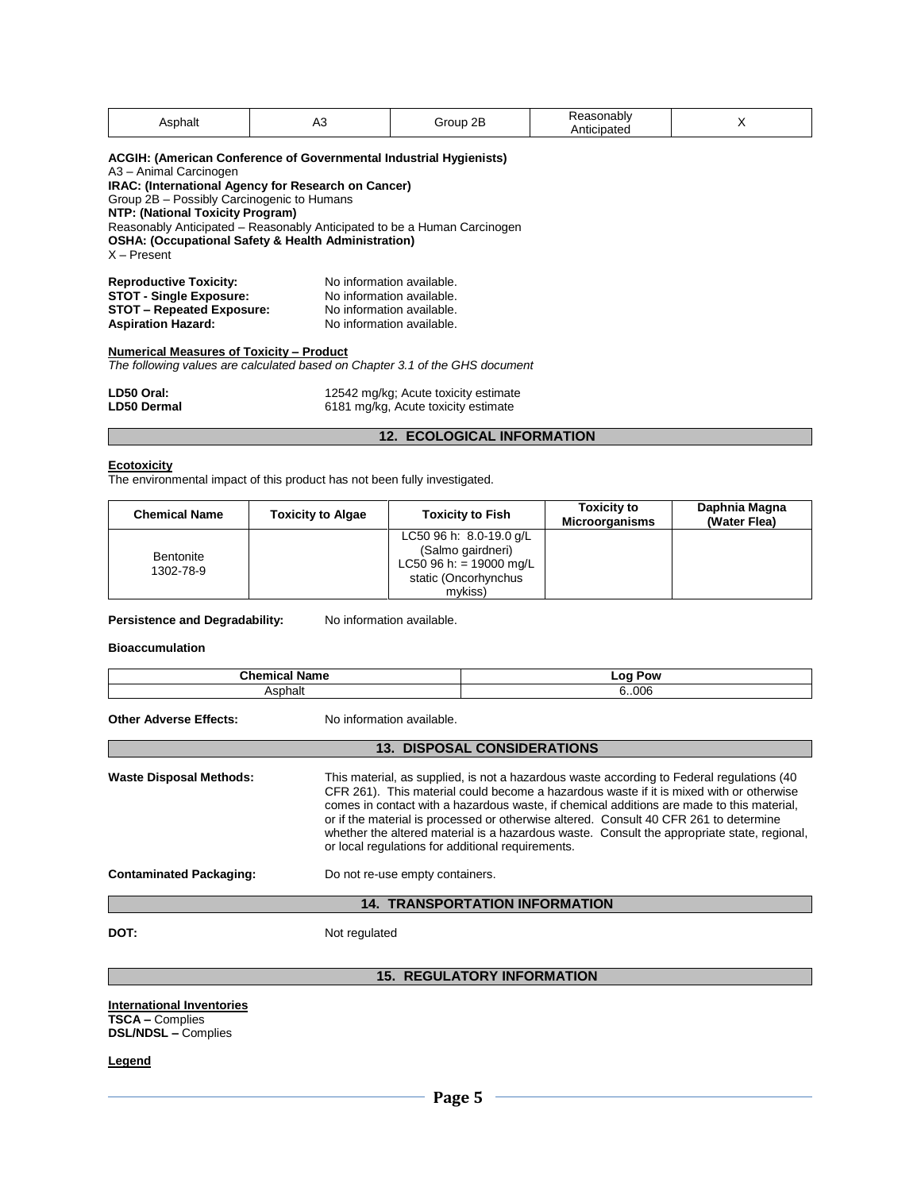| Asphalt                                                                                                                                                                                                                                                                                                                                                                                 | A3 | Group 2B                                                                    | Reasonably<br>Anticipated | X |  |  |
|-----------------------------------------------------------------------------------------------------------------------------------------------------------------------------------------------------------------------------------------------------------------------------------------------------------------------------------------------------------------------------------------|----|-----------------------------------------------------------------------------|---------------------------|---|--|--|
| ACGIH: (American Conference of Governmental Industrial Hygienists)<br>A3 - Animal Carcinogen<br>IRAC: (International Agency for Research on Cancer)<br>Group 2B - Possibly Carcinogenic to Humans<br>NTP: (National Toxicity Program)<br>Reasonably Anticipated – Reasonably Anticipated to be a Human Carcinogen<br>OSHA: (Occupational Safety & Health Administration)<br>X – Present |    |                                                                             |                           |   |  |  |
| <b>Reproductive Toxicity:</b><br>No information available.<br><b>STOT - Single Exposure:</b><br>No information available.<br><b>STOT - Repeated Exposure:</b><br>No information available.<br><b>Aspiration Hazard:</b><br>No information available.                                                                                                                                    |    |                                                                             |                           |   |  |  |
| Numerical Measures of Toxicity - Product                                                                                                                                                                                                                                                                                                                                                |    |                                                                             |                           |   |  |  |
| The following values are calculated based on Chapter 3.1 of the GHS document                                                                                                                                                                                                                                                                                                            |    |                                                                             |                           |   |  |  |
| LD50 Oral:<br>LD50 Dermal                                                                                                                                                                                                                                                                                                                                                               |    | 12542 mg/kg; Acute toxicity estimate<br>6181 mg/kg, Acute toxicity estimate |                           |   |  |  |
| <b>12. ECOLOGICAL INFORMATION</b>                                                                                                                                                                                                                                                                                                                                                       |    |                                                                             |                           |   |  |  |

#### **Ecotoxicity**

The environmental impact of this product has not been fully investigated.

| <b>Chemical Name</b>   | <b>Toxicity to Algae</b> | <b>Toxicity to Fish</b>                                                                                    | <b>Toxicity to</b><br><b>Microorganisms</b> | Daphnia Magna<br>(Water Flea) |
|------------------------|--------------------------|------------------------------------------------------------------------------------------------------------|---------------------------------------------|-------------------------------|
| Bentonite<br>1302-78-9 |                          | LC50 96 h: 8.0-19.0 g/L<br>(Salmo gairdneri)<br>LC50 96 h: = 19000 mg/L<br>static (Oncorhynchus<br>mvkiss) |                                             |                               |

Persistence and Degradability: No information available.

**Bioaccumulation**

| <b>Chemical Name</b><br>Asphalt |                                                                                                                                                                                                                                                                                                                                                                                                                                                                                                                                | <b>Log Pow</b>                        |  |
|---------------------------------|--------------------------------------------------------------------------------------------------------------------------------------------------------------------------------------------------------------------------------------------------------------------------------------------------------------------------------------------------------------------------------------------------------------------------------------------------------------------------------------------------------------------------------|---------------------------------------|--|
|                                 |                                                                                                                                                                                                                                                                                                                                                                                                                                                                                                                                | 6006                                  |  |
| <b>Other Adverse Effects:</b>   | No information available.                                                                                                                                                                                                                                                                                                                                                                                                                                                                                                      |                                       |  |
|                                 |                                                                                                                                                                                                                                                                                                                                                                                                                                                                                                                                | <b>13. DISPOSAL CONSIDERATIONS</b>    |  |
| <b>Waste Disposal Methods:</b>  | This material, as supplied, is not a hazardous waste according to Federal regulations (40<br>CFR 261). This material could become a hazardous waste if it is mixed with or otherwise<br>comes in contact with a hazardous waste, if chemical additions are made to this material,<br>or if the material is processed or otherwise altered. Consult 40 CFR 261 to determine<br>whether the altered material is a hazardous waste. Consult the appropriate state, regional,<br>or local regulations for additional requirements. |                                       |  |
| <b>Contaminated Packaging:</b>  | Do not re-use empty containers.                                                                                                                                                                                                                                                                                                                                                                                                                                                                                                |                                       |  |
|                                 |                                                                                                                                                                                                                                                                                                                                                                                                                                                                                                                                | <b>14. TRANSPORTATION INFORMATION</b> |  |
| DOT:                            | Not regulated                                                                                                                                                                                                                                                                                                                                                                                                                                                                                                                  |                                       |  |

**15. REGULATORY INFORMATION**

**International Inventories TSCA –** Complies **DSL/NDSL –** Complies

**Legend**